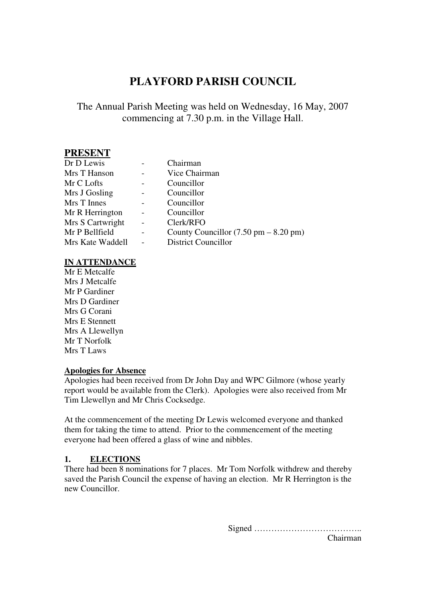# **PLAYFORD PARISH COUNCIL**

# The Annual Parish Meeting was held on Wednesday, 16 May, 2007 commencing at 7.30 p.m. in the Village Hall.

### **PRESENT**

| Dr D Lewis       |                          | Chairman                                                |
|------------------|--------------------------|---------------------------------------------------------|
| Mrs T Hanson     |                          | Vice Chairman                                           |
| Mr C Lofts       |                          | Councillor                                              |
| Mrs J Gosling    |                          | Councillor                                              |
| Mrs T Innes      |                          | Councillor                                              |
| Mr R Herrington  |                          | Councillor                                              |
| Mrs S Cartwright | $\overline{a}$           | Clerk/RFO                                               |
| Mr P Bellfield   | $\overline{\phantom{a}}$ | County Councillor $(7.50 \text{ pm} - 8.20 \text{ pm})$ |
| Mrs Kate Waddell |                          | <b>District Councillor</b>                              |

#### **IN ATTENDANCE**

Mr E Metcalfe Mrs J Metcalfe Mr P Gardiner Mrs D Gardiner Mrs G Corani Mrs E Stennett Mrs A Llewellyn Mr T Norfolk Mrs T Laws

#### **Apologies for Absence**

Apologies had been received from Dr John Day and WPC Gilmore (whose yearly report would be available from the Clerk). Apologies were also received from Mr Tim Llewellyn and Mr Chris Cocksedge.

At the commencement of the meeting Dr Lewis welcomed everyone and thanked them for taking the time to attend. Prior to the commencement of the meeting everyone had been offered a glass of wine and nibbles.

#### **1. ELECTIONS**

There had been 8 nominations for 7 places. Mr Tom Norfolk withdrew and thereby saved the Parish Council the expense of having an election. Mr R Herrington is the new Councillor.

> Signed ……………………………….. Chairman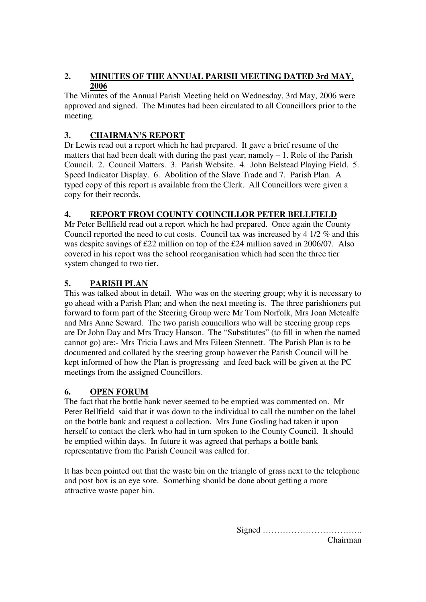### **2. MINUTES OF THE ANNUAL PARISH MEETING DATED 3rd MAY, 2006**

The Minutes of the Annual Parish Meeting held on Wednesday, 3rd May, 2006 were approved and signed. The Minutes had been circulated to all Councillors prior to the meeting.

# **3. CHAIRMAN'S REPORT**

Dr Lewis read out a report which he had prepared. It gave a brief resume of the matters that had been dealt with during the past year; namely – 1. Role of the Parish Council. 2. Council Matters. 3. Parish Website. 4. John Belstead Playing Field. 5. Speed Indicator Display. 6. Abolition of the Slave Trade and 7. Parish Plan. A typed copy of this report is available from the Clerk. All Councillors were given a copy for their records.

# **4. REPORT FROM COUNTY COUNCILLOR PETER BELLFIELD**

Mr Peter Bellfield read out a report which he had prepared. Once again the County Council reported the need to cut costs. Council tax was increased by 4 1/2 % and this was despite savings of £22 million on top of the £24 million saved in 2006/07. Also covered in his report was the school reorganisation which had seen the three tier system changed to two tier.

### **5. PARISH PLAN**

This was talked about in detail. Who was on the steering group; why it is necessary to go ahead with a Parish Plan; and when the next meeting is. The three parishioners put forward to form part of the Steering Group were Mr Tom Norfolk, Mrs Joan Metcalfe and Mrs Anne Seward. The two parish councillors who will be steering group reps are Dr John Day and Mrs Tracy Hanson. The "Substitutes" (to fill in when the named cannot go) are:- Mrs Tricia Laws and Mrs Eileen Stennett. The Parish Plan is to be documented and collated by the steering group however the Parish Council will be kept informed of how the Plan is progressing and feed back will be given at the PC meetings from the assigned Councillors.

### **6. OPEN FORUM**

The fact that the bottle bank never seemed to be emptied was commented on. Mr Peter Bellfield said that it was down to the individual to call the number on the label on the bottle bank and request a collection. Mrs June Gosling had taken it upon herself to contact the clerk who had in turn spoken to the County Council. It should be emptied within days. In future it was agreed that perhaps a bottle bank representative from the Parish Council was called for.

It has been pointed out that the waste bin on the triangle of grass next to the telephone and post box is an eye sore. Something should be done about getting a more attractive waste paper bin.

Signed ……………………………..

Chairman